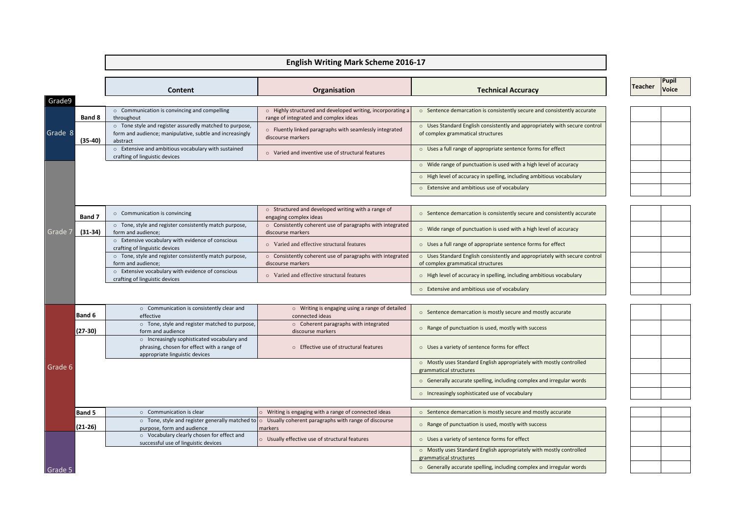## **English Writing Mark Scheme 2016-17**

|         |               | Content                                                                                                                         | Organisation                                                                                                      | <b>Technical Accuracy</b>                                                                                       | Teacher | <b>Pupil</b><br>Voice |
|---------|---------------|---------------------------------------------------------------------------------------------------------------------------------|-------------------------------------------------------------------------------------------------------------------|-----------------------------------------------------------------------------------------------------------------|---------|-----------------------|
| Grade9  |               |                                                                                                                                 |                                                                                                                   |                                                                                                                 |         |                       |
|         | Band 8        | o Communication is convincing and compelling<br>throughout                                                                      | o Highly structured and developed writing, incorporating a<br>range of integrated and complex ideas               | o Sentence demarcation is consistently secure and consistently accurate                                         |         |                       |
| Grade 8 | $(35-40)$     | o Tone style and register assuredly matched to purpose,<br>form and audience; manipulative, subtle and increasingly<br>abstract | o Fluently linked paragraphs with seamlessly integrated<br>discourse markers                                      | o Uses Standard English consistently and appropriately with secure control<br>of complex grammatical structures |         |                       |
|         |               | o Extensive and ambitious vocabulary with sustained<br>crafting of linguistic devices                                           | o Varied and inventive use of structural features                                                                 | O Uses a full range of appropriate sentence forms for effect                                                    |         |                       |
|         |               |                                                                                                                                 |                                                                                                                   | $\circ$ Wide range of punctuation is used with a high level of accuracy                                         |         |                       |
|         |               |                                                                                                                                 |                                                                                                                   | o High level of accuracy in spelling, including ambitious vocabulary                                            |         |                       |
|         |               |                                                                                                                                 |                                                                                                                   | o Extensive and ambitious use of vocabulary                                                                     |         |                       |
|         |               |                                                                                                                                 |                                                                                                                   |                                                                                                                 |         |                       |
|         | Band 7        | ○ Communication is convincing                                                                                                   | o Structured and developed writing with a range of<br>engaging complex ideas                                      | o Sentence demarcation is consistently secure and consistently accurate                                         |         |                       |
| Grade 7 | $(31-34)$     | o Tone, style and register consistently match purpose,<br>form and audience:                                                    | o Consistently coherent use of paragraphs with integrated<br>discourse markers                                    | o Wide range of punctuation is used with a high level of accuracy                                               |         |                       |
|         |               | o Extensive vocabulary with evidence of conscious<br>crafting of linguistic devices                                             | ○ Varied and effective structural features                                                                        | o Uses a full range of appropriate sentence forms for effect                                                    |         |                       |
|         |               | o Tone, style and register consistently match purpose,<br>form and audience;                                                    | o Consistently coherent use of paragraphs with integrated<br>discourse markers                                    | o Uses Standard English consistently and appropriately with secure control<br>of complex grammatical structures |         |                       |
|         |               | o Extensive vocabulary with evidence of conscious<br>crafting of linguistic devices                                             | o Varied and effective structural features                                                                        | o High level of accuracy in spelling, including ambitious vocabulary                                            |         |                       |
|         |               |                                                                                                                                 |                                                                                                                   | o Extensive and ambitious use of vocabulary                                                                     |         |                       |
|         |               |                                                                                                                                 |                                                                                                                   |                                                                                                                 |         |                       |
|         | <b>Band 6</b> | o Communication is consistently clear and<br>effective                                                                          | o Writing is engaging using a range of detailed<br>connected ideas                                                | ○ Sentence demarcation is mostly secure and mostly accurate                                                     |         |                       |
|         | $(27-30)$     | o Tone, style and register matched to purpose,<br>form and audience                                                             | o Coherent paragraphs with integrated<br>discourse markers                                                        | o Range of punctuation is used, mostly with success                                                             |         |                       |
|         |               | o Increasingly sophisticated vocabulary and<br>phrasing, chosen for effect with a range of<br>appropriate linguistic devices    | o Effective use of structural features                                                                            | O Uses a variety of sentence forms for effect                                                                   |         |                       |
| Grade 6 |               |                                                                                                                                 |                                                                                                                   | o Mostly uses Standard English appropriately with mostly controlled<br>grammatical structures                   |         |                       |
|         |               |                                                                                                                                 |                                                                                                                   | o Generally accurate spelling, including complex and irregular words                                            |         |                       |
|         |               |                                                                                                                                 |                                                                                                                   | o Increasingly sophisticated use of vocabulary                                                                  |         |                       |
|         | <b>Band 5</b> | o Communication is clear                                                                                                        | O Writing is engaging with a range of connected ideas                                                             | o Sentence demarcation is mostly secure and mostly accurate                                                     |         |                       |
|         |               |                                                                                                                                 | $\circ$ Tone, style and register generally matched to $\circ$ Usually coherent paragraphs with range of discourse |                                                                                                                 |         |                       |
|         | $(21-26)$     | purpose, form and audience                                                                                                      | markers                                                                                                           | o Range of punctuation is used, mostly with success                                                             |         |                       |
|         |               | o Vocabulary clearly chosen for effect and<br>successful use of linguistic devices                                              | o Usually effective use of structural features                                                                    | O Uses a variety of sentence forms for effect                                                                   |         |                       |
|         |               |                                                                                                                                 |                                                                                                                   | o Mostly uses Standard English appropriately with mostly controlled<br>grammatical structures                   |         |                       |
| Grade 5 |               |                                                                                                                                 |                                                                                                                   | o Generally accurate spelling, including complex and irregular words                                            |         |                       |

 $\overline{\phantom{a}}$